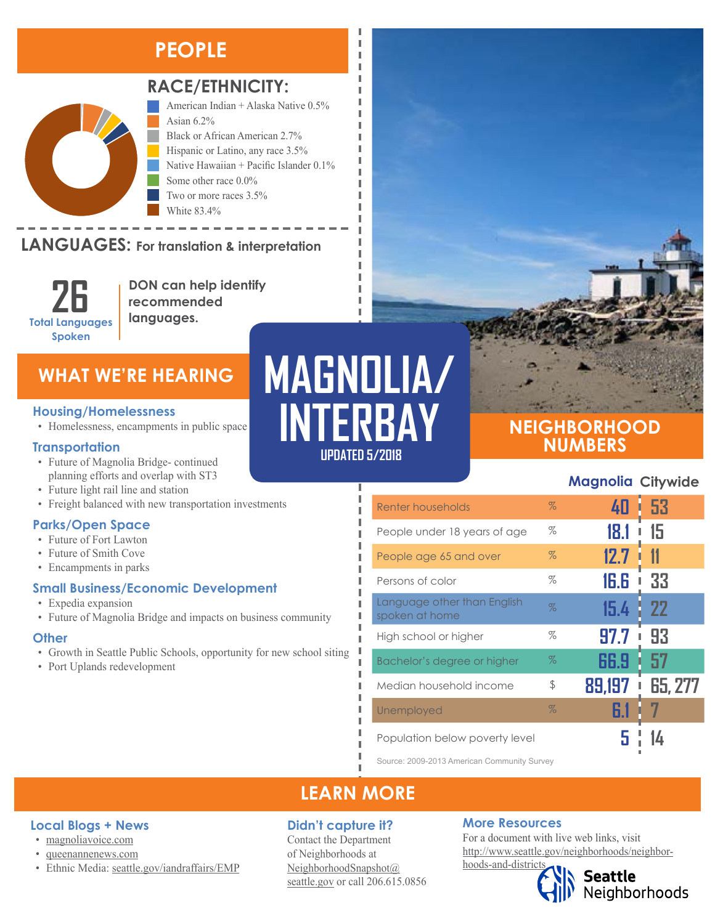# **PEOPLE**



# **RACE/ETHNICITY:**

American Indian + Alaska Native 0.5% Asian 6.2% Black or African American 2.7% Hispanic or Latino, any race 3.5% Native Hawaiian + Pacific Islander 0.1% Some other race 0.0% Two or more races 3.5% White 83.4%

#### **LANGUAGES:** For translation & interpretation  $\mathbb{R}$  is the Other Pacific Islands  $\mathbb{R}$



**DON can help identify recommended languages.**

# **WHAT WE'RE HEARING**

#### **Housing/Homelessness**

• Homelessness, encampments in public space

#### **Transportation**

- Future of Magnolia Bridge- continued planning efforts and overlap with ST3
- Future light rail line and station
- Freight balanced with new transportation investments

## **Parks/Open Space**

- Future of Fort Lawton
- Future of Smith Cove
- Encampments in parks

## **Small Business/Economic Development**

- Expedia expansion
- Future of Magnolia Bridge and impacts on business community

#### **Other**

- Growth in Seattle Public Schools, opportunity for new school siting
- Port Uplands redevelopment

**Local Blogs + News** • [magnoliavoice.com](https://magnoliavoice.com/) • [queenannenews.com](http://www.queenannenews.com/)

• Ethnic Media: [seattle.gov/iandraffairs/EMP](http://www.seattle.gov/iandraffairs/EMP)

# **MAGNOLIA/ INTERBAY**

л I I л л

л

I Ī I I л

## **UPDATED 5/2018**

# **NEIGHBORHOOD NUMBERS**

# **Magnolia Citywide**

| <b>Renter households</b>                      | $\%$ | 40          | 53          |
|-----------------------------------------------|------|-------------|-------------|
| People under 18 years of age                  | %    | 18.1        | 15          |
| People age 65 and over                        | $\%$ | 12.7        | $\mathbf T$ |
| Persons of color                              | %    | 16.6        | 33          |
| Language other than English<br>spoken at home | $\%$ | 15.4        | <b>22</b>   |
| High school or higher                         | %    | 97.7        | 93          |
| Bachelor's degree or higher                   | $\%$ | 66.9        | 57          |
| Median household income                       | \$   | 89,197<br>I | 65, 277     |
| Unemployed                                    | $\%$ | 6.1         |             |
| Population below poverty level                |      |             |             |

Source: 2009-2013 American Community Survey

# **LEARN MORE**

## **Didn't capture it?**

Contact the Department of Neighborhoods at [NeighborhoodSnapshot@](mailto:NeighborhoodSnapshot%40%0Aseattle.gov?subject=) [seattle.gov](mailto:NeighborhoodSnapshot%40%0Aseattle.gov?subject=) or call 206.615.0856

## **More Resources**

For a document with live web links, visit [http://www.seattle.gov/neighborhoods/neighbor](http://www.seattle.gov/neighborhoods/neighborhoods-and-districts)[hoods-and-districts](http://www.seattle.gov/neighborhoods/neighborhoods-and-districts)



Seattle<br>Neighborhoods